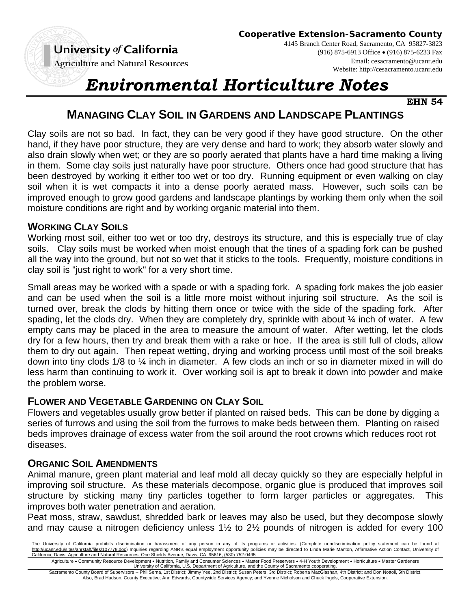**Agriculture and Natural Resources** 

4145 Branch Center Road, Sacramento, CA 95827-3823 (916) 875-6913 Office (916) 875-6233 Fax Email: cesacramento@ucanr.edu Website: http://cesacramento.ucanr.edu

# *Environmental Horticulture Notes*

**EHN 54**

# **MANAGING CLAY SOIL IN GARDENS AND LANDSCAPE PLANTINGS**

Clay soils are not so bad. In fact, they can be very good if they have good structure. On the other hand, if they have poor structure, they are very dense and hard to work; they absorb water slowly and also drain slowly when wet; or they are so poorly aerated that plants have a hard time making a living in them. Some clay soils just naturally have poor structure. Others once had good structure that has been destroyed by working it either too wet or too dry. Running equipment or even walking on clay soil when it is wet compacts it into a dense poorly aerated mass. However, such soils can be improved enough to grow good gardens and landscape plantings by working them only when the soil moisture conditions are right and by working organic material into them.

### **WORKING CLAY SOILS**

Working most soil, either too wet or too dry, destroys its structure, and this is especially true of clay soils. Clay soils must be worked when moist enough that the tines of a spading fork can be pushed all the way into the ground, but not so wet that it sticks to the tools. Frequently, moisture conditions in clay soil is "just right to work" for a very short time.

Small areas may be worked with a spade or with a spading fork. A spading fork makes the job easier and can be used when the soil is a little more moist without injuring soil structure. As the soil is turned over, break the clods by hitting them once or twice with the side of the spading fork. After spading, let the clods dry. When they are completely dry, sprinkle with about  $\frac{1}{4}$  inch of water. A few empty cans may be placed in the area to measure the amount of water. After wetting, let the clods dry for a few hours, then try and break them with a rake or hoe. If the area is still full of clods, allow them to dry out again. Then repeat wetting, drying and working process until most of the soil breaks down into tiny clods 1/8 to ¼ inch in diameter. A few clods an inch or so in diameter mixed in will do less harm than continuing to work it. Over working soil is apt to break it down into powder and make the problem worse.

# **FLOWER AND VEGETABLE GARDENING ON CLAY SOIL**

Flowers and vegetables usually grow better if planted on raised beds. This can be done by digging a series of furrows and using the soil from the furrows to make beds between them. Planting on raised beds improves drainage of excess water from the soil around the root crowns which reduces root rot diseases.

# **ORGANIC SOIL AMENDMENTS**

Animal manure, green plant material and leaf mold all decay quickly so they are especially helpful in improving soil structure. As these materials decompose, organic glue is produced that improves soil structure by sticking many tiny particles together to form larger particles or aggregates. This improves both water penetration and aeration.

Peat moss, straw, sawdust, shredded bark or leaves may also be used, but they decompose slowly and may cause a nitrogen deficiency unless 1½ to 2½ pounds of nitrogen is added for every 100

Agriculture • Community Resource Development • Nutrition, Family and Consumer Sciences • Master Food Preservers • 4-H Youth Development • Horticulture • Master Gardeners<br>University of California, U.S. Department of Agricu

Sacramento County Board of Supervisors -- Phil Serna, 1st District; Jimmy Yee, 2nd District; Susan Peters, 3rd District; Roberta MacGlashan, 4th District; and Don Nottoli, 5th District. Also, Brad Hudson, County Executive; Ann Edwards, Countywide Services Agency; and Yvonne Nicholson and Chuck Ingels, Cooperative Extension.

The University of California prohibits discrimination or harassment of any person in any of its programs or activities. (Complete nondiscrimination policy statement can be found at http://ucanr.edu/sites/anrstaff/files/107778.doc) Inquiries regarding ANR's equal employment opportunity policies may be directed to Linda Marie Manton, Affirmative Action Contact, University of California, Davis, Agriculture and Natural Resources, One Shields Avenue, Davis, CA 95616, (530) 752-0495